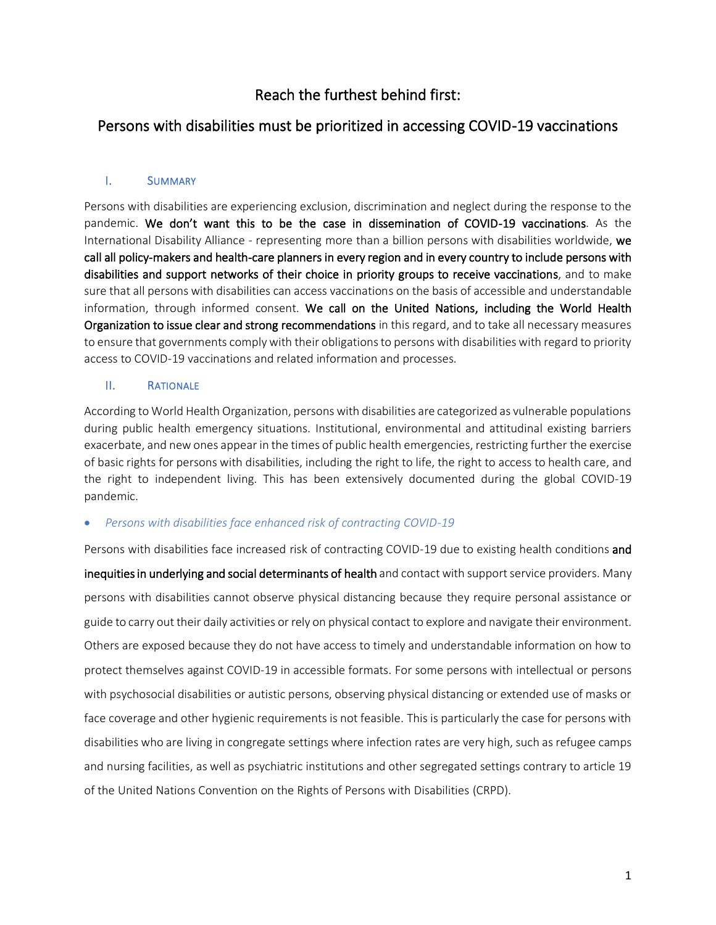# Reach the furthest behind first:

## Persons with disabilities must be prioritized in accessing COVID-19 vaccinations

### I. SUMMARY

Persons with disabilities are experiencing exclusion, discrimination and neglect during the response to the pandemic. We don't want this to be the case in dissemination of COVID-19 vaccinations. As the International Disability Alliance - representing more than a billion persons with disabilities worldwide, we call all policy-makers and health-care planners in every region and in every country to include persons with disabilities and support networks of their choice in priority groups to receive vaccinations, and to make sure that all persons with disabilities can access vaccinations on the basis of accessible and understandable information, through informed consent. We call on the United Nations, including the World Health Organization to issue clear and strong recommendations in this regard, and to take all necessary measures to ensure that governments comply with their obligations to persons with disabilities with regard to priority access to COVID-19 vaccinations and related information and processes.

### II. RATIONALE

According to World Health Organization, persons with disabilities are categorized as vulnerable populations during public health emergency situations. Institutional, environmental and attitudinal existing barriers exacerbate, and new ones appear in the times of public health emergencies, restricting further the exercise of basic rights for persons with disabilities, including the right to life, the right to access to health care, and the right to independent living. This has been extensively documented during the global COVID-19 pandemic.

### • *Persons with disabilities face enhanced risk of contracting COVID-19*

Persons with disabilities face increased risk of contracting COVID-19 due to existing health conditions and inequities in underlying and social determinants of health and contact with support service providers. Many persons with disabilities cannot observe physical distancing because they require personal assistance or guide to carry out their daily activities or rely on physical contact to explore and navigate their environment. Others are exposed because they do not have access to timely and understandable information on how to protect themselves against COVID-19 in accessible formats. For some persons with intellectual or persons with psychosocial disabilities or autistic persons, observing physical distancing or extended use of masks or face coverage and other hygienic requirements is not feasible. This is particularly the case for persons with disabilities who are living in congregate settings where infection rates are very high, such as refugee camps and nursing facilities, as well as psychiatric institutions and other segregated settings contrary to article 19 of the United Nations Convention on the Rights of Persons with Disabilities (CRPD).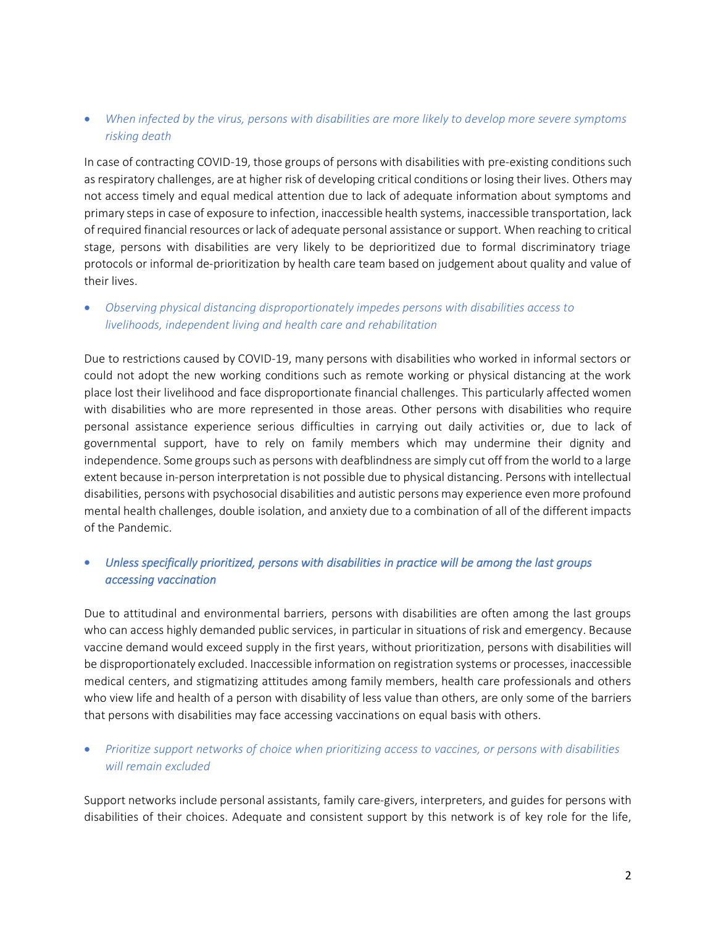## • *When infected by the virus, persons with disabilities are more likely to develop more severe symptoms risking death*

In case of contracting COVID-19, those groups of persons with disabilities with pre-existing conditions such as respiratory challenges, are at higher risk of developing critical conditions or losing their lives. Others may not access timely and equal medical attention due to lack of adequate information about symptoms and primary steps in case of exposure to infection, inaccessible health systems, inaccessible transportation, lack of required financial resources orlack of adequate personal assistance or support. When reaching to critical stage, persons with disabilities are very likely to be deprioritized due to formal discriminatory triage protocols or informal de-prioritization by health care team based on judgement about quality and value of their lives.

## • *Observing physical distancing disproportionately impedes persons with disabilities access to livelihoods, independent living and health care and rehabilitation*

Due to restrictions caused by COVID-19, many persons with disabilities who worked in informal sectors or could not adopt the new working conditions such as remote working or physical distancing at the work place lost their livelihood and face disproportionate financial challenges. This particularly affected women with disabilities who are more represented in those areas. Other persons with disabilities who require personal assistance experience serious difficulties in carrying out daily activities or, due to lack of governmental support, have to rely on family members which may undermine their dignity and independence. Some groups such as persons with deafblindness are simply cut off from the world to a large extent because in-person interpretation is not possible due to physical distancing. Persons with intellectual disabilities, persons with psychosocial disabilities and autistic persons may experience even more profound mental health challenges, double isolation, and anxiety due to a combination of all of the different impacts of the Pandemic.

## • *Unless specifically prioritized, persons with disabilities in practice will be among the last groups accessing vaccination*

Due to attitudinal and environmental barriers, persons with disabilities are often among the last groups who can access highly demanded public services, in particular in situations of risk and emergency. Because vaccine demand would exceed supply in the first years, without prioritization, persons with disabilities will be disproportionately excluded. Inaccessible information on registration systems or processes, inaccessible medical centers, and stigmatizing attitudes among family members, health care professionals and others who view life and health of a person with disability of less value than others, are only some of the barriers that persons with disabilities may face accessing vaccinations on equal basis with others.

## • *Prioritize support networks of choice when prioritizing access to vaccines, or persons with disabilities will remain excluded*

Support networks include personal assistants, family care-givers, interpreters, and guides for persons with disabilities of their choices. Adequate and consistent support by this network is of key role for the life,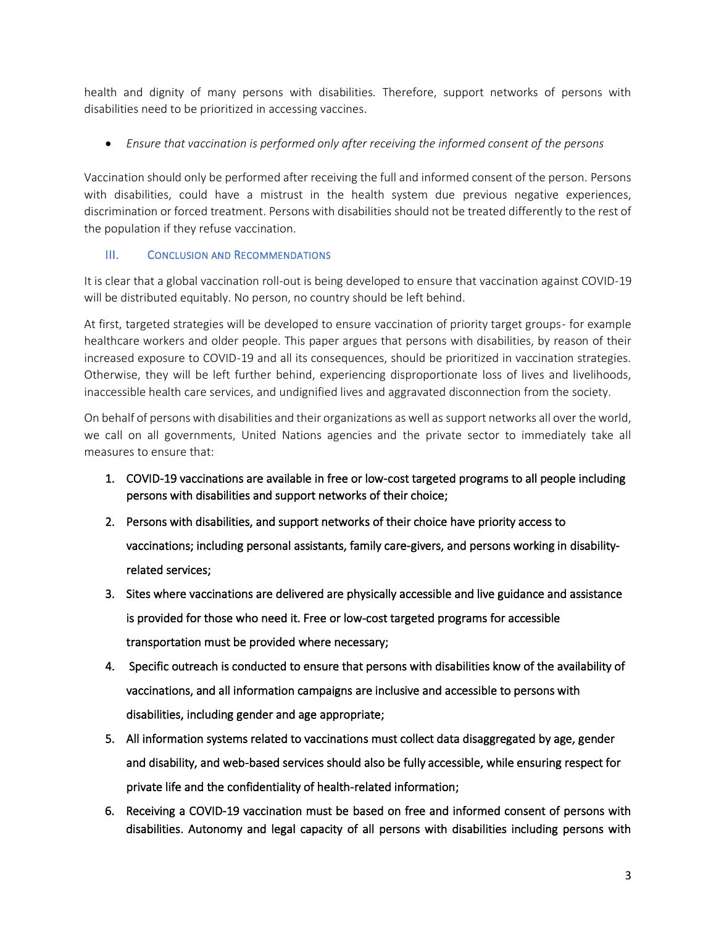health and dignity of many persons with disabilities. Therefore, support networks of persons with disabilities need to be prioritized in accessing vaccines.

• *Ensure that vaccination is performed only after receiving the informed consent of the persons* 

Vaccination should only be performed after receiving the full and informed consent of the person. Persons with disabilities, could have a mistrust in the health system due previous negative experiences, discrimination or forced treatment. Persons with disabilities should not be treated differently to the rest of the population if they refuse vaccination.

### III. CONCLUSION AND RECOMMENDATIONS

It is clear that a global vaccination roll-out is being developed to ensure that vaccination against COVID-19 will be distributed equitably. No person, no country should be left behind.

At first, targeted strategies will be developed to ensure vaccination of priority target groups- for example healthcare workers and older people. This paper argues that persons with disabilities, by reason of their increased exposure to COVID-19 and all its consequences, should be prioritized in vaccination strategies. Otherwise, they will be left further behind, experiencing disproportionate loss of lives and livelihoods, inaccessible health care services, and undignified lives and aggravated disconnection from the society.

On behalf of persons with disabilities and their organizations as well as support networks all over the world, we call on all governments, United Nations agencies and the private sector to immediately take all measures to ensure that:

- 1. COVID-19 vaccinations are available in free or low-cost targeted programs to all people including persons with disabilities and support networks of their choice;
- 2. Persons with disabilities, and support networks of their choice have priority access to vaccinations; including personal assistants, family care-givers, and persons working in disabilityrelated services;
- 3. Sites where vaccinations are delivered are physically accessible and live guidance and assistance is provided for those who need it. Free or low-cost targeted programs for accessible transportation must be provided where necessary;
- 4. Specific outreach is conducted to ensure that persons with disabilities know of the availability of vaccinations, and all information campaigns are inclusive and accessible to persons with disabilities, including gender and age appropriate;
- 5. All information systems related to vaccinations must collect data disaggregated by age, gender and disability, and web-based services should also be fully accessible, while ensuring respect for private life and the confidentiality of health-related information;
- 6. Receiving a COVID-19 vaccination must be based on free and informed consent of persons with disabilities. Autonomy and legal capacity of all persons with disabilities including persons with